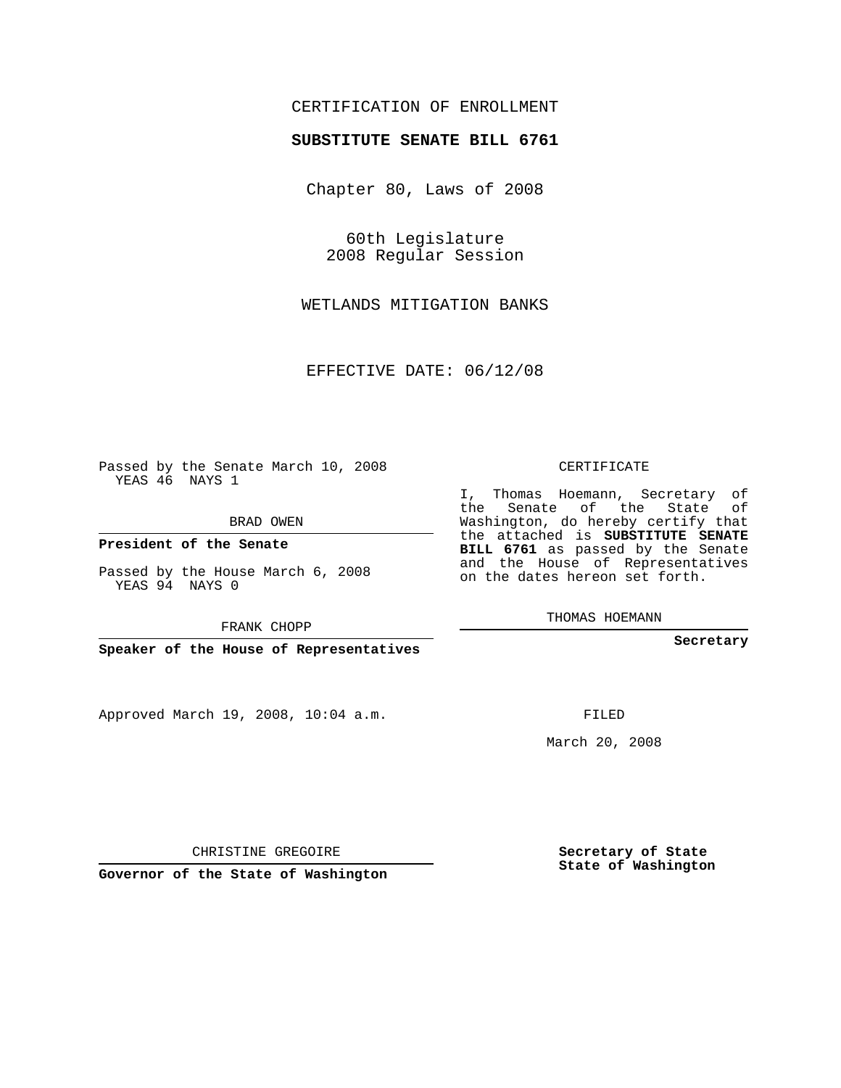# CERTIFICATION OF ENROLLMENT

### **SUBSTITUTE SENATE BILL 6761**

Chapter 80, Laws of 2008

60th Legislature 2008 Regular Session

WETLANDS MITIGATION BANKS

EFFECTIVE DATE: 06/12/08

Passed by the Senate March 10, 2008 YEAS 46 NAYS 1

BRAD OWEN

**President of the Senate**

Passed by the House March 6, 2008 YEAS 94 NAYS 0

FRANK CHOPP

**Speaker of the House of Representatives**

Approved March 19, 2008, 10:04 a.m.

CERTIFICATE

I, Thomas Hoemann, Secretary of the Senate of the State of Washington, do hereby certify that the attached is **SUBSTITUTE SENATE BILL 6761** as passed by the Senate and the House of Representatives on the dates hereon set forth.

THOMAS HOEMANN

**Secretary**

FILED

March 20, 2008

**Secretary of State State of Washington**

CHRISTINE GREGOIRE

**Governor of the State of Washington**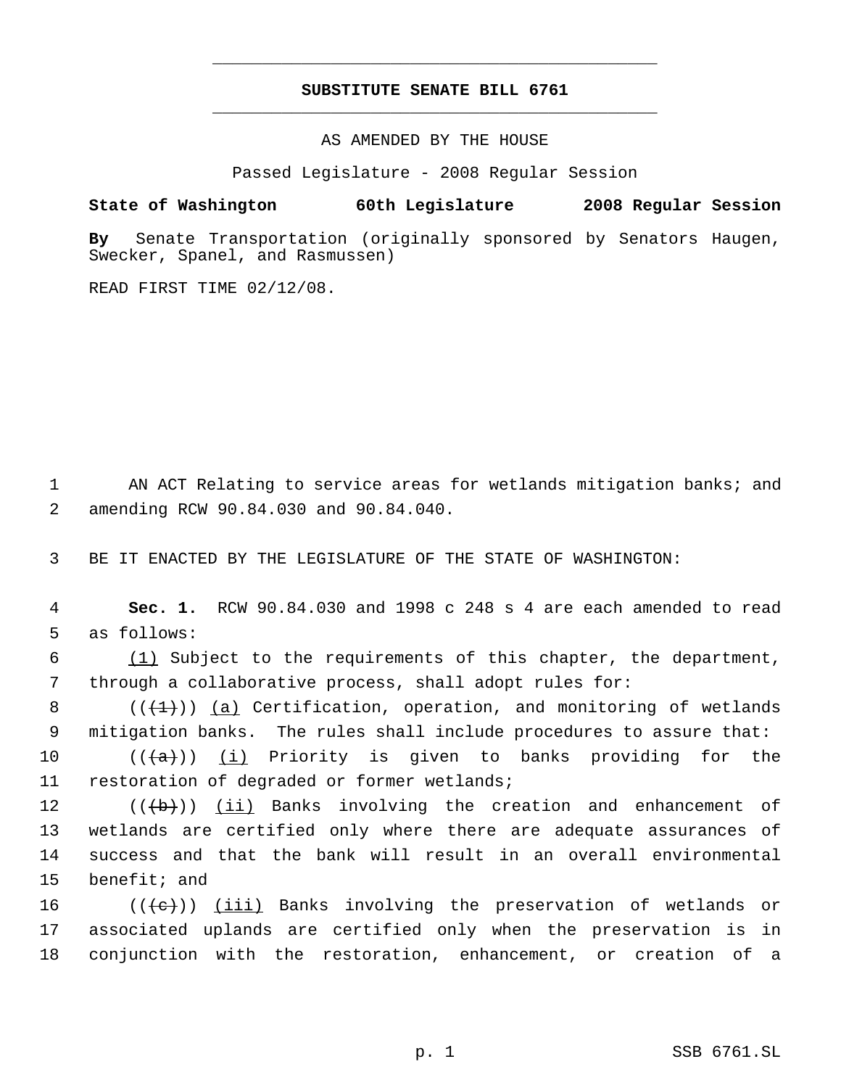# **SUBSTITUTE SENATE BILL 6761** \_\_\_\_\_\_\_\_\_\_\_\_\_\_\_\_\_\_\_\_\_\_\_\_\_\_\_\_\_\_\_\_\_\_\_\_\_\_\_\_\_\_\_\_\_

\_\_\_\_\_\_\_\_\_\_\_\_\_\_\_\_\_\_\_\_\_\_\_\_\_\_\_\_\_\_\_\_\_\_\_\_\_\_\_\_\_\_\_\_\_

AS AMENDED BY THE HOUSE

Passed Legislature - 2008 Regular Session

### **State of Washington 60th Legislature 2008 Regular Session**

**By** Senate Transportation (originally sponsored by Senators Haugen, Swecker, Spanel, and Rasmussen)

READ FIRST TIME 02/12/08.

1 AN ACT Relating to service areas for wetlands mitigation banks; and 2 amending RCW 90.84.030 and 90.84.040.

3 BE IT ENACTED BY THE LEGISLATURE OF THE STATE OF WASHINGTON:

 4 **Sec. 1.** RCW 90.84.030 and 1998 c 248 s 4 are each amended to read 5 as follows:

 6 (1) Subject to the requirements of this chapter, the department, 7 through a collaborative process, shall adopt rules for:

8  $((+1))$   $(a)$  Certification, operation, and monitoring of wetlands 9 mitigation banks. The rules shall include procedures to assure that:

10 ( $(\overline{\{a\}})$  (i) Priority is given to banks providing for the 11 restoration of degraded or former wetlands;

12 ((<del>(b)</del>)) <u>(ii)</u> Banks involving the creation and enhancement of wetlands are certified only where there are adequate assurances of success and that the bank will result in an overall environmental benefit; and

16  $((\{e\})$  ( $(iii)$  Banks involving the preservation of wetlands or 17 associated uplands are certified only when the preservation is in 18 conjunction with the restoration, enhancement, or creation of a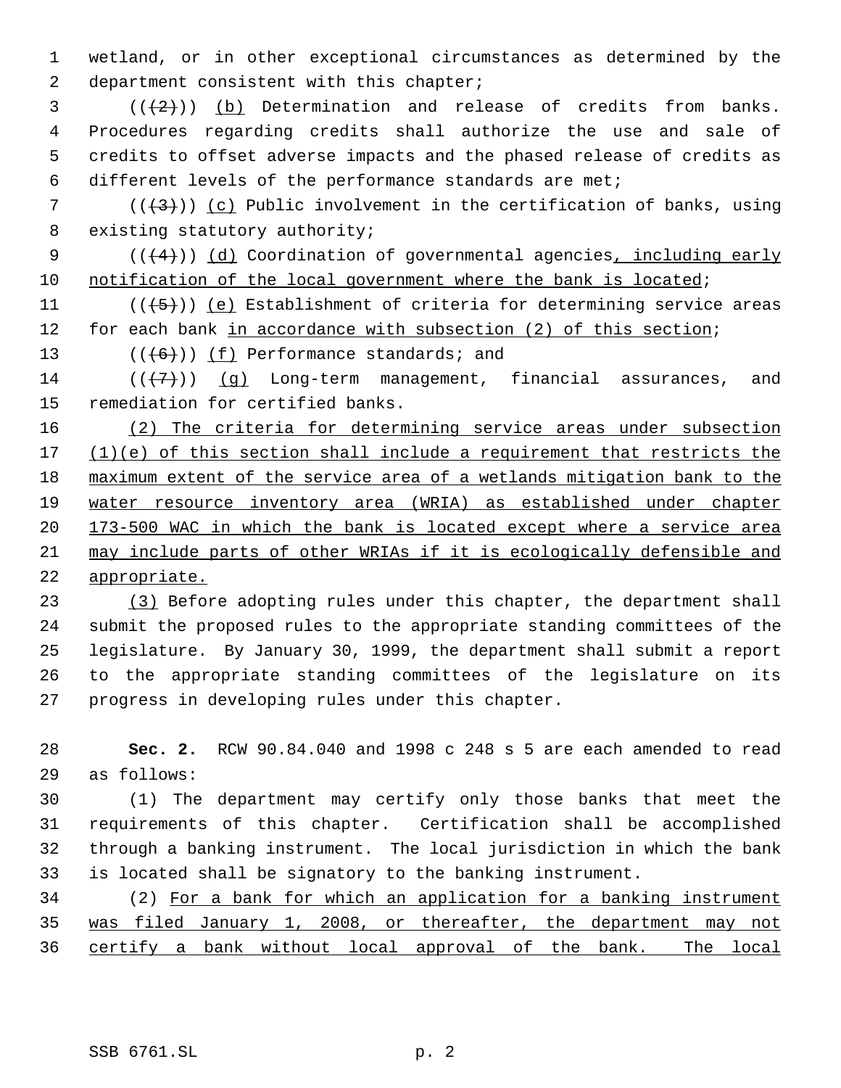wetland, or in other exceptional circumstances as determined by the 2 department consistent with this chapter;

 ( $(\frac{2}{2})$ ) (b) Determination and release of credits from banks. Procedures regarding credits shall authorize the use and sale of credits to offset adverse impacts and the phased release of credits as different levels of the performance standards are met;

7 ( $(\frac{43}{3})$ ) (c) Public involvement in the certification of banks, using 8 existing statutory authority;

9  $((+4))$   $(d)$  Coordination of governmental agencies, including early notification of the local government where the bank is located;

11  $((\left\langle 5\right\rangle))$  (e) Establishment of criteria for determining service areas 12 for each bank in accordance with subsection (2) of this section;

13  $((+6))$   $(f)$  Performance standards; and

14  $((+7)$ ) (q) Long-term management, financial assurances, and remediation for certified banks.

 (2) The criteria for determining service areas under subsection 17 (1)(e) of this section shall include a requirement that restricts the maximum extent of the service area of a wetlands mitigation bank to the water resource inventory area (WRIA) as established under chapter 173-500 WAC in which the bank is located except where a service area may include parts of other WRIAs if it is ecologically defensible and appropriate.

 (3) Before adopting rules under this chapter, the department shall submit the proposed rules to the appropriate standing committees of the legislature. By January 30, 1999, the department shall submit a report to the appropriate standing committees of the legislature on its progress in developing rules under this chapter.

 **Sec. 2.** RCW 90.84.040 and 1998 c 248 s 5 are each amended to read as follows:

 (1) The department may certify only those banks that meet the requirements of this chapter. Certification shall be accomplished through a banking instrument. The local jurisdiction in which the bank is located shall be signatory to the banking instrument.

 (2) For a bank for which an application for a banking instrument was filed January 1, 2008, or thereafter, the department may not certify a bank without local approval of the bank. The local